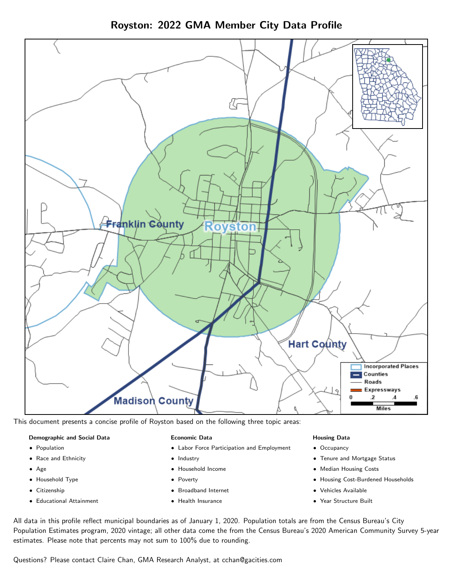Franklin County ovston **Hart County Incorporated Places Counties** Roads Expressways 2 Madisoὴ County **Miles** 

Royston: 2022 GMA Member City Data Profile

This document presents a concise profile of Royston based on the following three topic areas:

#### Demographic and Social Data

- **•** Population
- Race and Ethnicity
- Age
- Household Type
- **Citizenship**
- Educational Attainment

### Economic Data

- Labor Force Participation and Employment
- Industry
- Household Income
- Poverty
- Broadband Internet
- Health Insurance

#### Housing Data

- Occupancy
- Tenure and Mortgage Status
- Median Housing Costs
- Housing Cost-Burdened Households
- Vehicles Available
- $\bullet$ Year Structure Built

All data in this profile reflect municipal boundaries as of January 1, 2020. Population totals are from the Census Bureau's City Population Estimates program, 2020 vintage; all other data come the from the Census Bureau's 2020 American Community Survey 5-year estimates. Please note that percents may not sum to 100% due to rounding.

Questions? Please contact Claire Chan, GMA Research Analyst, at [cchan@gacities.com.](mailto:cchan@gacities.com)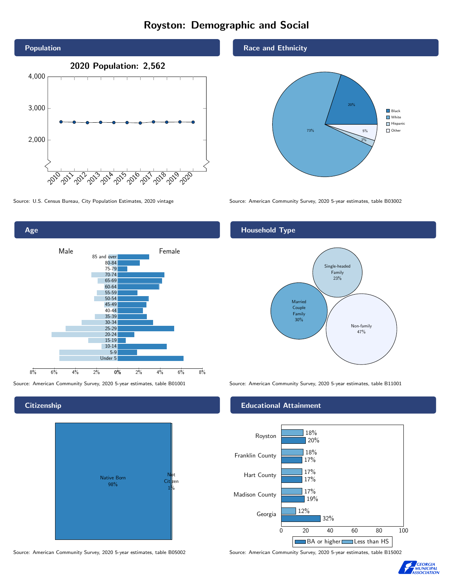# Royston: Demographic and Social





**Citizenship** 



Source: American Community Survey, 2020 5-year estimates, table B05002 Source: American Community Survey, 2020 5-year estimates, table B15002

### Race and Ethnicity



Source: U.S. Census Bureau, City Population Estimates, 2020 vintage Source: American Community Survey, 2020 5-year estimates, table B03002

### Household Type



Source: American Community Survey, 2020 5-year estimates, table B01001 Source: American Community Survey, 2020 5-year estimates, table B11001

### Educational Attainment



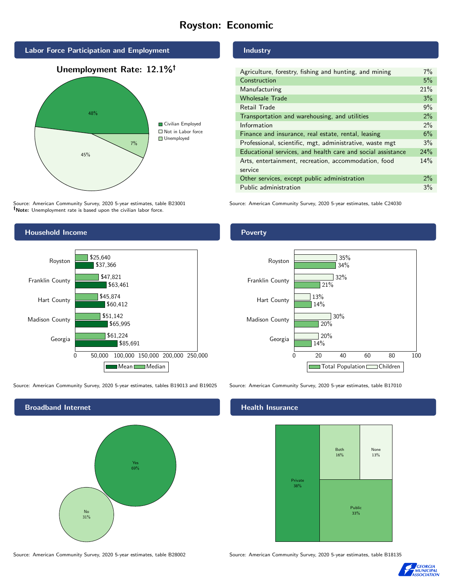# Royston: Economic



Source: American Community Survey, 2020 5-year estimates, table B23001 Note: Unemployment rate is based upon the civilian labor force.

### Industry

| Agriculture, forestry, fishing and hunting, and mining      | $7\%$ |
|-------------------------------------------------------------|-------|
| Construction                                                | 5%    |
| Manufacturing                                               | 21%   |
| <b>Wholesale Trade</b>                                      | 3%    |
| Retail Trade                                                | 9%    |
| Transportation and warehousing, and utilities               | 2%    |
| Information                                                 | 2%    |
| Finance and insurance, real estate, rental, leasing         | 6%    |
| Professional, scientific, mgt, administrative, waste mgt    | 3%    |
| Educational services, and health care and social assistance | 24%   |
| Arts, entertainment, recreation, accommodation, food        | 14%   |
| service                                                     |       |
| Other services, except public administration                | $2\%$ |
| Public administration                                       | 3%    |
|                                                             |       |

Source: American Community Survey, 2020 5-year estimates, table C24030



Source: American Community Survey, 2020 5-year estimates, tables B19013 and B19025 Source: American Community Survey, 2020 5-year estimates, table B17010

Broadband Internet No 31% Yes 69%

#### Health Insurance



Source: American Community Survey, 2020 5-year estimates, table B28002 Source: American Community Survey, 2020 5-year estimates, table B18135